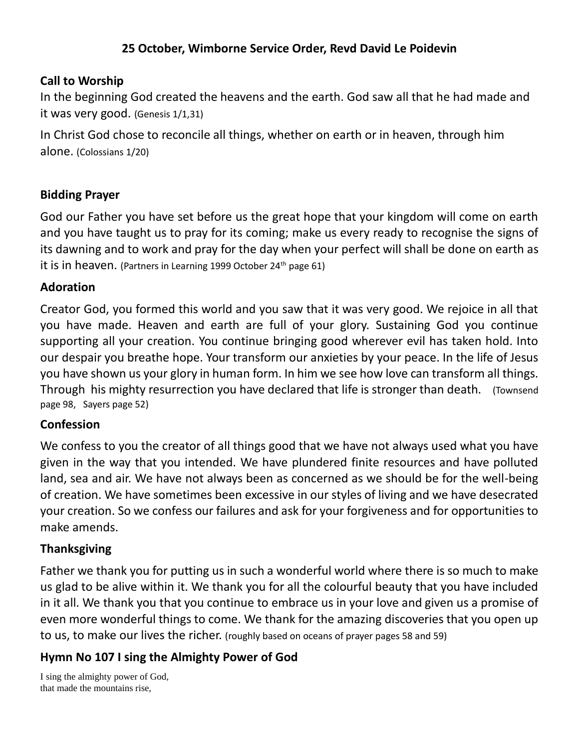# **25 October, Wimborne Service Order, Revd David Le Poidevin**

#### **Call to Worship**

In the beginning God created the heavens and the earth. God saw all that he had made and it was very good. (Genesis 1/1,31)

In Christ God chose to reconcile all things, whether on earth or in heaven, through him alone. (Colossians 1/20)

## **Bidding Prayer**

God our Father you have set before us the great hope that your kingdom will come on earth and you have taught us to pray for its coming; make us every ready to recognise the signs of its dawning and to work and pray for the day when your perfect will shall be done on earth as it is in heaven. (Partners in Learning 1999 October 24<sup>th</sup> page 61)

#### **Adoration**

Creator God, you formed this world and you saw that it was very good. We rejoice in all that you have made. Heaven and earth are full of your glory. Sustaining God you continue supporting all your creation. You continue bringing good wherever evil has taken hold. Into our despair you breathe hope. Your transform our anxieties by your peace. In the life of Jesus you have shown us your glory in human form. In him we see how love can transform all things. Through his mighty resurrection you have declared that life is stronger than death. (Townsend page 98, Sayers page 52)

## **Confession**

We confess to you the creator of all things good that we have not always used what you have given in the way that you intended. We have plundered finite resources and have polluted land, sea and air. We have not always been as concerned as we should be for the well-being of creation. We have sometimes been excessive in our styles of living and we have desecrated your creation. So we confess our failures and ask for your forgiveness and for opportunities to make amends.

## **Thanksgiving**

Father we thank you for putting us in such a wonderful world where there is so much to make us glad to be alive within it. We thank you for all the colourful beauty that you have included in it all. We thank you that you continue to embrace us in your love and given us a promise of even more wonderful things to come. We thank for the amazing discoveries that you open up to us, to make our lives the richer. (roughly based on oceans of prayer pages 58 and 59)

# **Hymn No 107 I sing the Almighty Power of God**

I sing the almighty power of God, that made the mountains rise,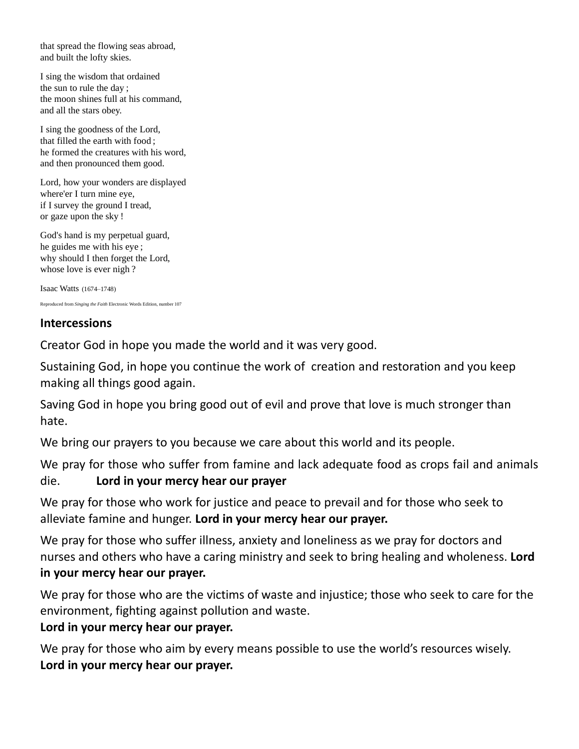that spread the flowing seas abroad, and built the lofty skies.

I sing the wisdom that ordained the sun to rule the day ; the moon shines full at his command, and all the stars obey.

I sing the goodness of the Lord, that filled the earth with food ; he formed the creatures with his word, and then pronounced them good.

Lord, how your wonders are displayed where'er I turn mine eye, if I survey the ground I tread, or gaze upon the sky !

God's hand is my perpetual guard, he guides me with his eye ; why should I then forget the Lord, whose love is ever nigh?

Isaac Watts (1674–1748)

Reproduced from *Singing the Faith* Electronic Words Edition, number 107

#### **Intercessions**

Creator God in hope you made the world and it was very good.

Sustaining God, in hope you continue the work of creation and restoration and you keep making all things good again.

Saving God in hope you bring good out of evil and prove that love is much stronger than hate.

We bring our prayers to you because we care about this world and its people.

We pray for those who suffer from famine and lack adequate food as crops fail and animals die. **Lord in your mercy hear our prayer** 

We pray for those who work for justice and peace to prevail and for those who seek to alleviate famine and hunger. **Lord in your mercy hear our prayer.**

We pray for those who suffer illness, anxiety and loneliness as we pray for doctors and nurses and others who have a caring ministry and seek to bring healing and wholeness. **Lord in your mercy hear our prayer.**

We pray for those who are the victims of waste and injustice; those who seek to care for the environment, fighting against pollution and waste.

## **Lord in your mercy hear our prayer.**

We pray for those who aim by every means possible to use the world's resources wisely. **Lord in your mercy hear our prayer.**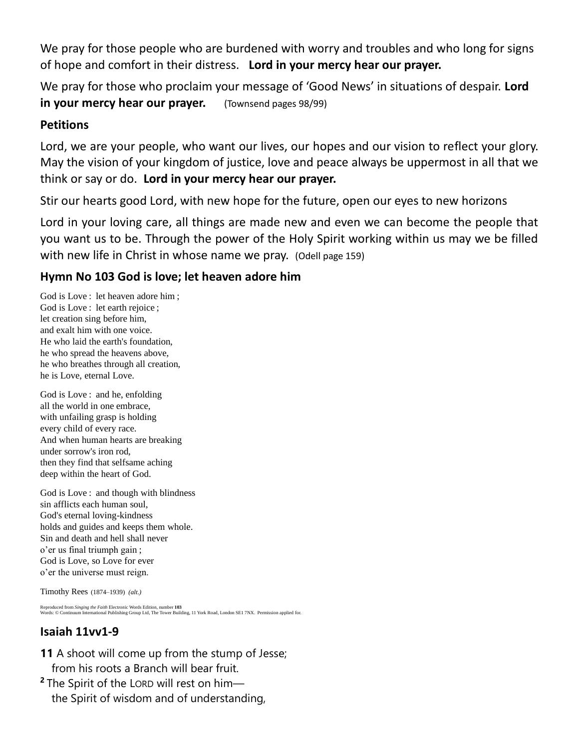We pray for those people who are burdened with worry and troubles and who long for signs of hope and comfort in their distress. **Lord in your mercy hear our prayer.**

We pray for those who proclaim your message of 'Good News' in situations of despair. **Lord in your mercy hear our prayer.** (Townsend pages 98/99)

## **Petitions**

Lord, we are your people, who want our lives, our hopes and our vision to reflect your glory. May the vision of your kingdom of justice, love and peace always be uppermost in all that we think or say or do. **Lord in your mercy hear our prayer.**

Stir our hearts good Lord, with new hope for the future, open our eyes to new horizons

Lord in your loving care, all things are made new and even we can become the people that you want us to be. Through the power of the Holy Spirit working within us may we be filled with new life in Christ in whose name we pray. (Odell page 159)

# **Hymn No 103 God is love; let heaven adore him**

God is Love : let heaven adore him ; God is Love : let earth rejoice ; let creation sing before him, and exalt him with one voice. He who laid the earth's foundation, he who spread the heavens above, he who breathes through all creation, he is Love, eternal Love.

God is Love : and he, enfolding all the world in one embrace, with unfailing grasp is holding every child of every race. And when human hearts are breaking under sorrow's iron rod, then they find that selfsame aching deep within the heart of God.

God is Love : and though with blindness sin afflicts each human soul, God's eternal loving-kindness holds and guides and keeps them whole. Sin and death and hell shall never o'er us final triumph gain ; God is Love, so Love for ever o'er the universe must reign.

Timothy Rees (1874–1939) *(alt.)*

Reproduced from *Singing the Faith* Electronic Words Edition, number **103** Words: © Continuum International Publishing Group Ltd, The Tower Building, 11 York Road, London SE1 7NX. Permission applied for.

# **Isaiah 11vv1-9**

- **11** A shoot will come up from the stump of Jesse; from his roots a Branch will bear fruit.
- **<sup>2</sup>** The Spirit of the LORD will rest on him the Spirit of wisdom and of understanding,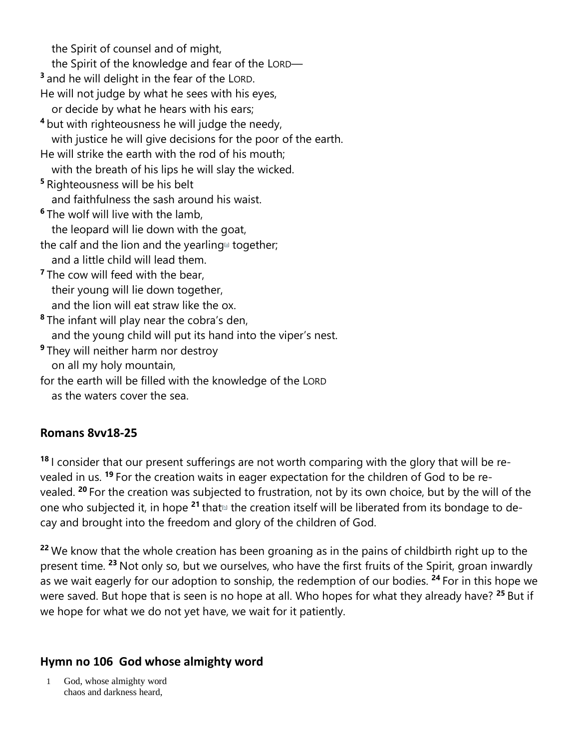the Spirit of counsel and of might, the Spirit of the knowledge and fear of the LORD— **3** and he will delight in the fear of the LORD. He will not judge by what he sees with his eyes, or decide by what he hears with his ears; **<sup>4</sup>** but with righteousness he will judge the needy, with justice he will give decisions for the poor of the earth. He will strike the earth with the rod of his mouth; with the breath of his lips he will slay the wicked. **<sup>5</sup>** Righteousness will be his belt and faithfulness the sash around his waist. **<sup>6</sup>** The wolf will live with the lamb, the leopard will lie down with the goat, the calf and the lion and the yearling $a$  together; and a little child will lead them. <sup>7</sup> The cow will feed with the bear, their young will lie down together, and the lion will eat straw like the ox. **<sup>8</sup>** The infant will play near the cobra's den, and the young child will put its hand into the viper's nest. **<sup>9</sup>** They will neither harm nor destroy on all my holy mountain, for the earth will be filled with the knowledge of the LORD

# as the waters cover the sea.

#### **Romans 8vv18-25**

**<sup>18</sup>** I consider that our present sufferings are not worth comparing with the glory that will be revealed in us. **<sup>19</sup>** For the creation waits in eager expectation for the children of God to be revealed. **<sup>20</sup>** For the creation was subjected to frustration, not by its own choice, but by the will of the one who subjected it, in hope <sup>21</sup> that<sup>[1]</sup> the creation itself will be liberated from its bondage to decay and brought into the freedom and glory of the children of God.

<sup>22</sup> We know that the whole creation has been groaning as in the pains of childbirth right up to the present time. **<sup>23</sup>** Not only so, but we ourselves, who have the first fruits of the Spirit, groan inwardly as we wait eagerly for our adoption to sonship, the redemption of our bodies. **<sup>24</sup>** For in this hope we were saved. But hope that is seen is no hope at all. Who hopes for what they already have? **<sup>25</sup>** But if we hope for what we do not yet have, we wait for it patiently.

# **Hymn no 106 God whose almighty word**

 1 God, whose almighty word chaos and darkness heard,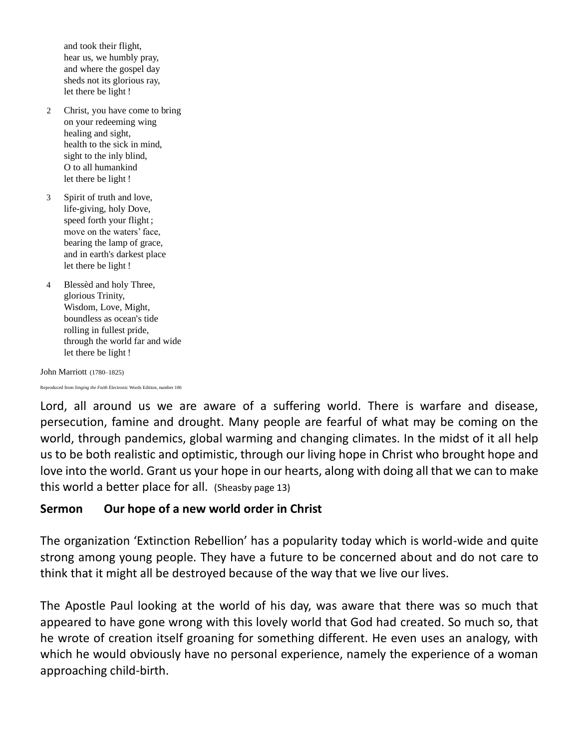and took their flight, hear us, we humbly pray, and where the gospel day sheds not its glorious ray, let there be light !

- 2 Christ, you have come to bring on your redeeming wing healing and sight, health to the sick in mind, sight to the inly blind, O to all humankind let there be light !
- 3 Spirit of truth and love, life-giving, holy Dove, speed forth your flight ; move on the waters' face, bearing the lamp of grace, and in earth's darkest place let there be light !
- 4 Blessèd and holy Three, glorious Trinity, Wisdom, Love, Might, boundless as ocean's tide rolling in fullest pride, through the world far and wide let there be light !

John Marriott (1780–1825)

Reproduced from *Singing the Faith* Electronic Words Edition, number 106

Lord, all around us we are aware of a suffering world. There is warfare and disease, persecution, famine and drought. Many people are fearful of what may be coming on the world, through pandemics, global warming and changing climates. In the midst of it all help us to be both realistic and optimistic, through our living hope in Christ who brought hope and love into the world. Grant us your hope in our hearts, along with doing all that we can to make this world a better place for all. (Sheasby page 13)

# **Sermon Our hope of a new world order in Christ**

The organization 'Extinction Rebellion' has a popularity today which is world-wide and quite strong among young people. They have a future to be concerned about and do not care to think that it might all be destroyed because of the way that we live our lives.

The Apostle Paul looking at the world of his day, was aware that there was so much that appeared to have gone wrong with this lovely world that God had created. So much so, that he wrote of creation itself groaning for something different. He even uses an analogy, with which he would obviously have no personal experience, namely the experience of a woman approaching child-birth.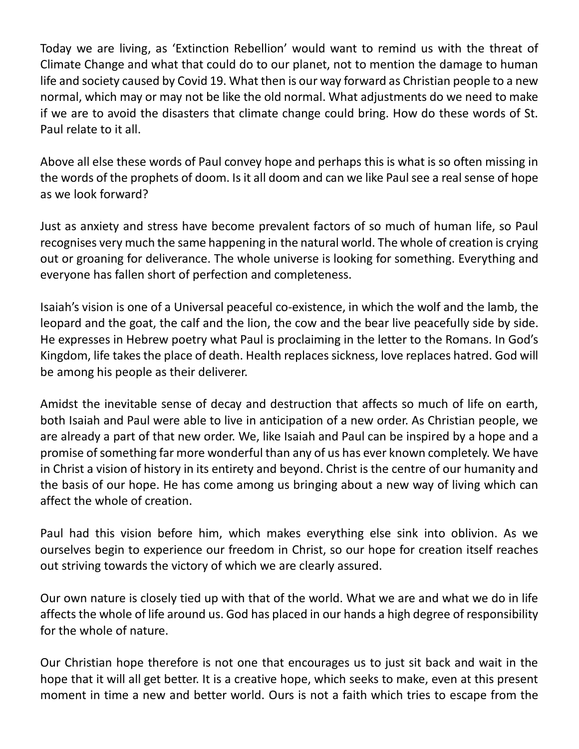Today we are living, as 'Extinction Rebellion' would want to remind us with the threat of Climate Change and what that could do to our planet, not to mention the damage to human life and society caused by Covid 19. What then is our way forward as Christian people to a new normal, which may or may not be like the old normal. What adjustments do we need to make if we are to avoid the disasters that climate change could bring. How do these words of St. Paul relate to it all.

Above all else these words of Paul convey hope and perhaps this is what is so often missing in the words of the prophets of doom. Is it all doom and can we like Paul see a real sense of hope as we look forward?

Just as anxiety and stress have become prevalent factors of so much of human life, so Paul recognises very much the same happening in the natural world. The whole of creation is crying out or groaning for deliverance. The whole universe is looking for something. Everything and everyone has fallen short of perfection and completeness.

Isaiah's vision is one of a Universal peaceful co-existence, in which the wolf and the lamb, the leopard and the goat, the calf and the lion, the cow and the bear live peacefully side by side. He expresses in Hebrew poetry what Paul is proclaiming in the letter to the Romans. In God's Kingdom, life takes the place of death. Health replaces sickness, love replaces hatred. God will be among his people as their deliverer.

Amidst the inevitable sense of decay and destruction that affects so much of life on earth, both Isaiah and Paul were able to live in anticipation of a new order. As Christian people, we are already a part of that new order. We, like Isaiah and Paul can be inspired by a hope and a promise of something far more wonderful than any of us has ever known completely. We have in Christ a vision of history in its entirety and beyond. Christ is the centre of our humanity and the basis of our hope. He has come among us bringing about a new way of living which can affect the whole of creation.

Paul had this vision before him, which makes everything else sink into oblivion. As we ourselves begin to experience our freedom in Christ, so our hope for creation itself reaches out striving towards the victory of which we are clearly assured.

Our own nature is closely tied up with that of the world. What we are and what we do in life affects the whole of life around us. God has placed in our hands a high degree of responsibility for the whole of nature.

Our Christian hope therefore is not one that encourages us to just sit back and wait in the hope that it will all get better. It is a creative hope, which seeks to make, even at this present moment in time a new and better world. Ours is not a faith which tries to escape from the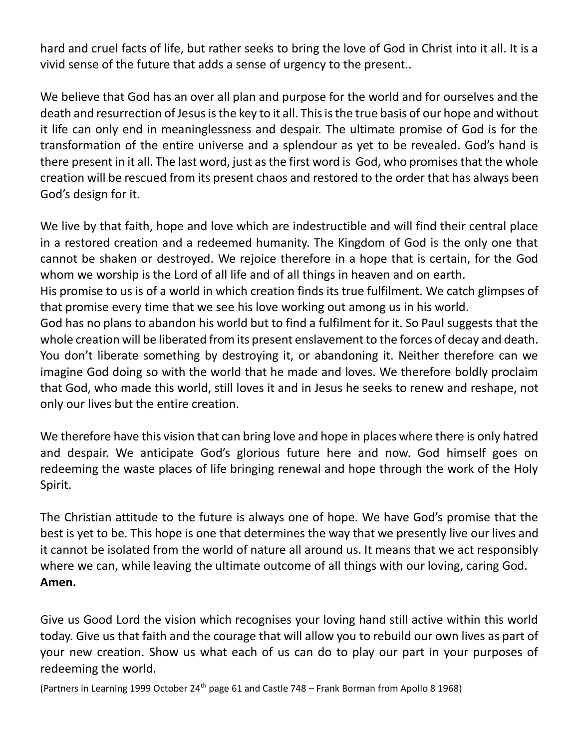hard and cruel facts of life, but rather seeks to bring the love of God in Christ into it all. It is a vivid sense of the future that adds a sense of urgency to the present..

We believe that God has an over all plan and purpose for the world and for ourselves and the death and resurrection of Jesus is the key to it all. This is the true basis of our hope and without it life can only end in meaninglessness and despair. The ultimate promise of God is for the transformation of the entire universe and a splendour as yet to be revealed. God's hand is there present in it all. The last word, just as the first word is God, who promises that the whole creation will be rescued from its present chaos and restored to the order that has always been God's design for it.

We live by that faith, hope and love which are indestructible and will find their central place in a restored creation and a redeemed humanity. The Kingdom of God is the only one that cannot be shaken or destroyed. We rejoice therefore in a hope that is certain, for the God whom we worship is the Lord of all life and of all things in heaven and on earth.

His promise to us is of a world in which creation finds its true fulfilment. We catch glimpses of that promise every time that we see his love working out among us in his world.

God has no plans to abandon his world but to find a fulfilment for it. So Paul suggests that the whole creation will be liberated from its present enslavement to the forces of decay and death. You don't liberate something by destroying it, or abandoning it. Neither therefore can we imagine God doing so with the world that he made and loves. We therefore boldly proclaim that God, who made this world, still loves it and in Jesus he seeks to renew and reshape, not only our lives but the entire creation.

We therefore have this vision that can bring love and hope in places where there is only hatred and despair. We anticipate God's glorious future here and now. God himself goes on redeeming the waste places of life bringing renewal and hope through the work of the Holy Spirit.

The Christian attitude to the future is always one of hope. We have God's promise that the best is yet to be. This hope is one that determines the way that we presently live our lives and it cannot be isolated from the world of nature all around us. It means that we act responsibly where we can, while leaving the ultimate outcome of all things with our loving, caring God. **Amen.**

Give us Good Lord the vision which recognises your loving hand still active within this world today. Give us that faith and the courage that will allow you to rebuild our own lives as part of your new creation. Show us what each of us can do to play our part in your purposes of redeeming the world.

(Partners in Learning 1999 October 24<sup>th</sup> page 61 and Castle 748 – Frank Borman from Apollo 8 1968)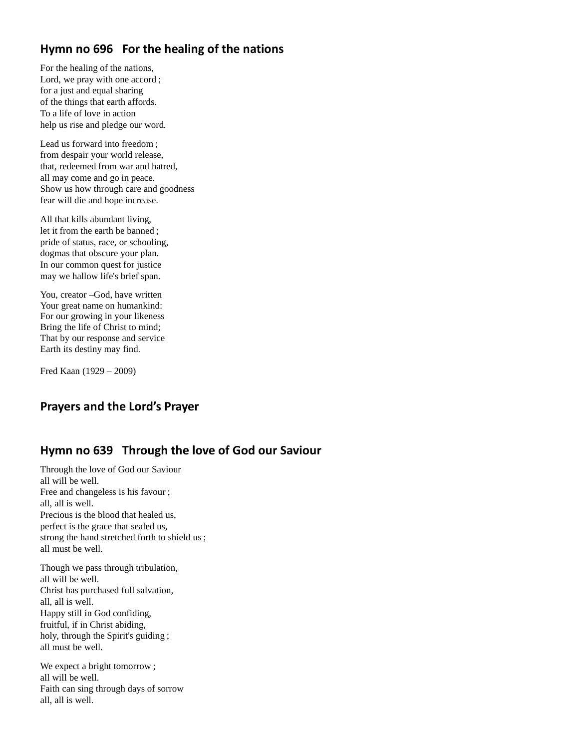## **Hymn no 696 For the healing of the nations**

For the healing of the nations, Lord, we pray with one accord ; for a just and equal sharing of the things that earth affords. To a life of love in action help us rise and pledge our word.

Lead us forward into freedom ; from despair your world release, that, redeemed from war and hatred, all may come and go in peace. Show us how through care and goodness fear will die and hope increase.

All that kills abundant living, let it from the earth be banned ; pride of status, race, or schooling, dogmas that obscure your plan. In our common quest for justice may we hallow life's brief span.

You, creator –God, have written Your great name on humankind: For our growing in your likeness Bring the life of Christ to mind; That by our response and service Earth its destiny may find.

Fred Kaan (1929 – 2009)

## **Prayers and the Lord's Prayer**

## **Hymn no 639 Through the love of God our Saviour**

Through the love of God our Saviour all will be well. Free and changeless is his favour ; all, all is well. Precious is the blood that healed us, perfect is the grace that sealed us, strong the hand stretched forth to shield us ; all must be well.

Though we pass through tribulation, all will be well. Christ has purchased full salvation, all, all is well. Happy still in God confiding, fruitful, if in Christ abiding, holy, through the Spirit's guiding ; all must be well.

We expect a bright tomorrow ; all will be well. Faith can sing through days of sorrow all, all is well.